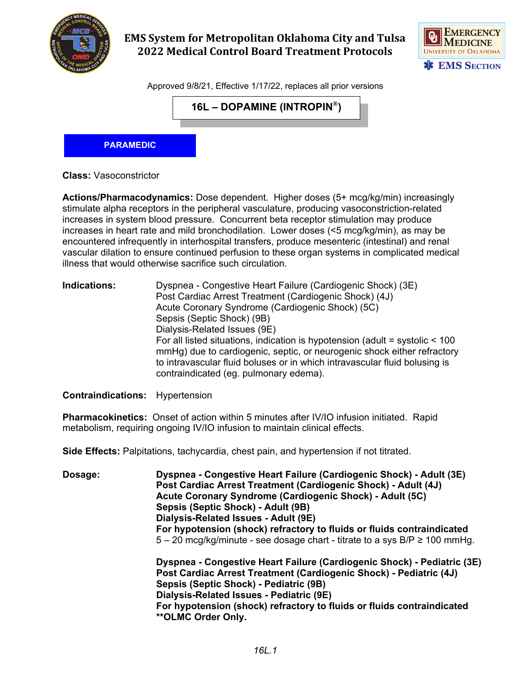

## **EMS System for Metropolitan Oklahoma City and Tulsa 2022 Medical Control Board Treatment Protocols**



Approved 9/8/21, Effective 1/17/22, replaces all prior versions

**16L – DOPAMINE (INTROPIN®)**

**PARAMEDIC**

**Class:** Vasoconstrictor

**Actions/Pharmacodynamics:** Dose dependent. Higher doses (5+ mcg/kg/min) increasingly stimulate alpha receptors in the peripheral vasculature, producing vasoconstriction-related increases in system blood pressure. Concurrent beta receptor stimulation may produce increases in heart rate and mild bronchodilation. Lower doses (<5 mcg/kg/min), as may be encountered infrequently in interhospital transfers, produce mesenteric (intestinal) and renal vascular dilation to ensure continued perfusion to these organ systems in complicated medical illness that would otherwise sacrifice such circulation.

**Indications:** Dyspnea - Congestive Heart Failure (Cardiogenic Shock) (3E) Post Cardiac Arrest Treatment (Cardiogenic Shock) (4J) Acute Coronary Syndrome (Cardiogenic Shock) (5C) Sepsis (Septic Shock) (9B) Dialysis-Related Issues (9E) For all listed situations, indication is hypotension (adult = systolic < 100 mmHg) due to cardiogenic, septic, or neurogenic shock either refractory to intravascular fluid boluses or in which intravascular fluid bolusing is contraindicated (eg. pulmonary edema).

**Contraindications:** Hypertension

**Pharmacokinetics:** Onset of action within 5 minutes after IV/IO infusion initiated. Rapid metabolism, requiring ongoing IV/IO infusion to maintain clinical effects.

**Side Effects:** Palpitations, tachycardia, chest pain, and hypertension if not titrated.

**Dosage: Dyspnea - Congestive Heart Failure (Cardiogenic Shock) - Adult (3E) Post Cardiac Arrest Treatment (Cardiogenic Shock) - Adult (4J) Acute Coronary Syndrome (Cardiogenic Shock) - Adult (5C) Sepsis (Septic Shock) - Adult (9B) Dialysis-Related Issues - Adult (9E) For hypotension (shock) refractory to fluids or fluids contraindicated**  $5 - 20$  mcg/kg/minute - see dosage chart - titrate to a sys B/P  $\geq 100$  mmHg. **Dyspnea - Congestive Heart Failure (Cardiogenic Shock) - Pediatric (3E) Post Cardiac Arrest Treatment (Cardiogenic Shock) - Pediatric (4J) Sepsis (Septic Shock) - Pediatric (9B) Dialysis-Related Issues - Pediatric (9E)**

**For hypotension (shock) refractory to fluids or fluids contraindicated \*\*OLMC Order Only.**